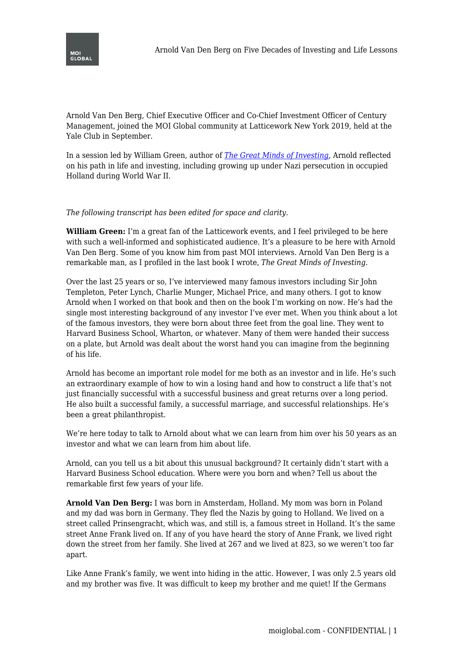

Arnold Van Den Berg, Chief Executive Officer and Co-Chief Investment Officer of Century Management, joined the MOI Global community at Latticework New York 2019, held at the Yale Club in September.

In a session led by William Green, author of *[The Great Minds of Investing](https://amzn.to/332bPeb)*, Arnold reflected on his path in life and investing, including growing up under Nazi persecution in occupied Holland during World War II.

## *The following transcript has been edited for space and clarity.*

**William Green:** I'm a great fan of the Latticework events, and I feel privileged to be here with such a well-informed and sophisticated audience. It's a pleasure to be here with Arnold Van Den Berg. Some of you know him from past MOI interviews. Arnold Van Den Berg is a remarkable man, as I profiled in the last book I wrote, *The Great Minds of Investing*.

Over the last 25 years or so, I've interviewed many famous investors including Sir John Templeton, Peter Lynch, Charlie Munger, Michael Price, and many others. I got to know Arnold when I worked on that book and then on the book I'm working on now. He's had the single most interesting background of any investor I've ever met. When you think about a lot of the famous investors, they were born about three feet from the goal line. They went to Harvard Business School, Wharton, or whatever. Many of them were handed their success on a plate, but Arnold was dealt about the worst hand you can imagine from the beginning of his life.

Arnold has become an important role model for me both as an investor and in life. He's such an extraordinary example of how to win a losing hand and how to construct a life that's not just financially successful with a successful business and great returns over a long period. He also built a successful family, a successful marriage, and successful relationships. He's been a great philanthropist.

We're here today to talk to Arnold about what we can learn from him over his 50 years as an investor and what we can learn from him about life.

Arnold, can you tell us a bit about this unusual background? It certainly didn't start with a Harvard Business School education. Where were you born and when? Tell us about the remarkable first few years of your life.

**Arnold Van Den Berg:** I was born in Amsterdam, Holland. My mom was born in Poland and my dad was born in Germany. They fled the Nazis by going to Holland. We lived on a street called Prinsengracht, which was, and still is, a famous street in Holland. It's the same street Anne Frank lived on. If any of you have heard the story of Anne Frank, we lived right down the street from her family. She lived at 267 and we lived at 823, so we weren't too far apart.

Like Anne Frank's family, we went into hiding in the attic. However, I was only 2.5 years old and my brother was five. It was difficult to keep my brother and me quiet! If the Germans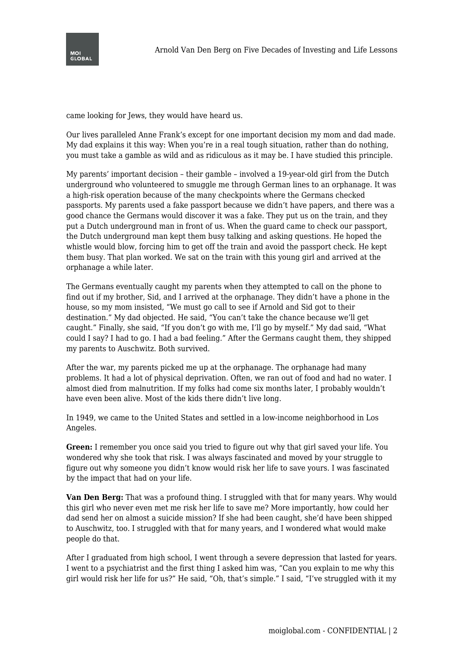

came looking for Jews, they would have heard us.

Our lives paralleled Anne Frank's except for one important decision my mom and dad made. My dad explains it this way: When you're in a real tough situation, rather than do nothing, you must take a gamble as wild and as ridiculous as it may be. I have studied this principle.

My parents' important decision – their gamble – involved a 19-year-old girl from the Dutch underground who volunteered to smuggle me through German lines to an orphanage. It was a high-risk operation because of the many checkpoints where the Germans checked passports. My parents used a fake passport because we didn't have papers, and there was a good chance the Germans would discover it was a fake. They put us on the train, and they put a Dutch underground man in front of us. When the guard came to check our passport, the Dutch underground man kept them busy talking and asking questions. He hoped the whistle would blow, forcing him to get off the train and avoid the passport check. He kept them busy. That plan worked. We sat on the train with this young girl and arrived at the orphanage a while later.

The Germans eventually caught my parents when they attempted to call on the phone to find out if my brother, Sid, and I arrived at the orphanage. They didn't have a phone in the house, so my mom insisted, "We must go call to see if Arnold and Sid got to their destination." My dad objected. He said, "You can't take the chance because we'll get caught." Finally, she said, "If you don't go with me, I'll go by myself." My dad said, "What could I say? I had to go. I had a bad feeling." After the Germans caught them, they shipped my parents to Auschwitz. Both survived.

After the war, my parents picked me up at the orphanage. The orphanage had many problems. It had a lot of physical deprivation. Often, we ran out of food and had no water. I almost died from malnutrition. If my folks had come six months later, I probably wouldn't have even been alive. Most of the kids there didn't live long.

In 1949, we came to the United States and settled in a low-income neighborhood in Los Angeles.

**Green:** I remember you once said you tried to figure out why that girl saved your life. You wondered why she took that risk. I was always fascinated and moved by your struggle to figure out why someone you didn't know would risk her life to save yours. I was fascinated by the impact that had on your life.

**Van Den Berg:** That was a profound thing. I struggled with that for many years. Why would this girl who never even met me risk her life to save me? More importantly, how could her dad send her on almost a suicide mission? If she had been caught, she'd have been shipped to Auschwitz, too. I struggled with that for many years, and I wondered what would make people do that.

After I graduated from high school, I went through a severe depression that lasted for years. I went to a psychiatrist and the first thing I asked him was, "Can you explain to me why this girl would risk her life for us?" He said, "Oh, that's simple." I said, "I've struggled with it my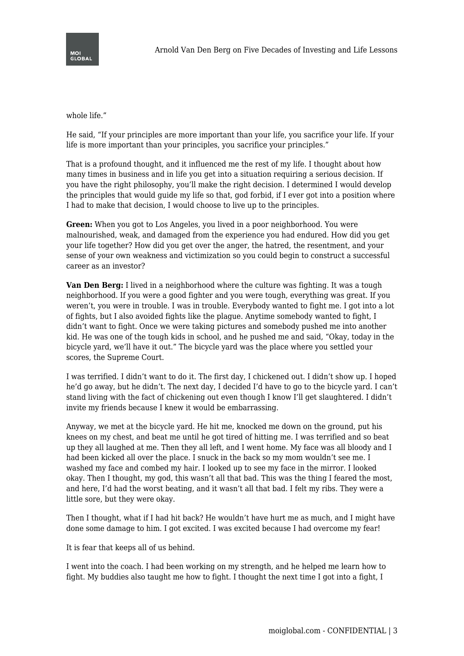

whole life."

He said, "If your principles are more important than your life, you sacrifice your life. If your life is more important than your principles, you sacrifice your principles."

That is a profound thought, and it influenced me the rest of my life. I thought about how many times in business and in life you get into a situation requiring a serious decision. If you have the right philosophy, you'll make the right decision. I determined I would develop the principles that would guide my life so that, god forbid, if I ever got into a position where I had to make that decision, I would choose to live up to the principles.

**Green:** When you got to Los Angeles, you lived in a poor neighborhood. You were malnourished, weak, and damaged from the experience you had endured. How did you get your life together? How did you get over the anger, the hatred, the resentment, and your sense of your own weakness and victimization so you could begin to construct a successful career as an investor?

**Van Den Berg:** I lived in a neighborhood where the culture was fighting. It was a tough neighborhood. If you were a good fighter and you were tough, everything was great. If you weren't, you were in trouble. I was in trouble. Everybody wanted to fight me. I got into a lot of fights, but I also avoided fights like the plague. Anytime somebody wanted to fight, I didn't want to fight. Once we were taking pictures and somebody pushed me into another kid. He was one of the tough kids in school, and he pushed me and said, "Okay, today in the bicycle yard, we'll have it out." The bicycle yard was the place where you settled your scores, the Supreme Court.

I was terrified. I didn't want to do it. The first day, I chickened out. I didn't show up. I hoped he'd go away, but he didn't. The next day, I decided I'd have to go to the bicycle yard. I can't stand living with the fact of chickening out even though I know I'll get slaughtered. I didn't invite my friends because I knew it would be embarrassing.

Anyway, we met at the bicycle yard. He hit me, knocked me down on the ground, put his knees on my chest, and beat me until he got tired of hitting me. I was terrified and so beat up they all laughed at me. Then they all left, and I went home. My face was all bloody and I had been kicked all over the place. I snuck in the back so my mom wouldn't see me. I washed my face and combed my hair. I looked up to see my face in the mirror. I looked okay. Then I thought, my god, this wasn't all that bad. This was the thing I feared the most, and here, I'd had the worst beating, and it wasn't all that bad. I felt my ribs. They were a little sore, but they were okay.

Then I thought, what if I had hit back? He wouldn't have hurt me as much, and I might have done some damage to him. I got excited. I was excited because I had overcome my fear!

It is fear that keeps all of us behind.

I went into the coach. I had been working on my strength, and he helped me learn how to fight. My buddies also taught me how to fight. I thought the next time I got into a fight, I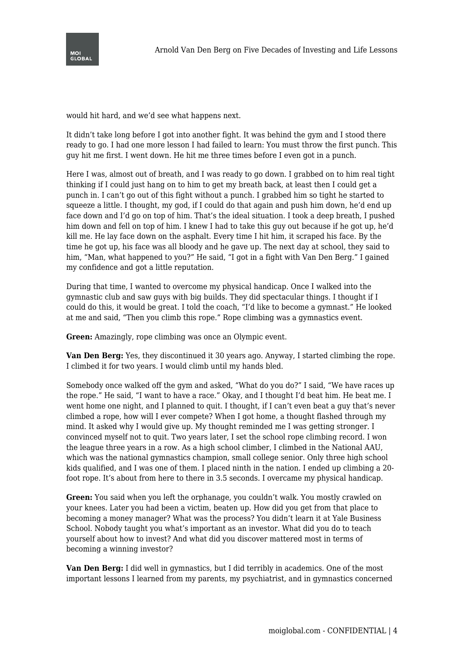

would hit hard, and we'd see what happens next.

It didn't take long before I got into another fight. It was behind the gym and I stood there ready to go. I had one more lesson I had failed to learn: You must throw the first punch. This guy hit me first. I went down. He hit me three times before I even got in a punch.

Here I was, almost out of breath, and I was ready to go down. I grabbed on to him real tight thinking if I could just hang on to him to get my breath back, at least then I could get a punch in. I can't go out of this fight without a punch. I grabbed him so tight he started to squeeze a little. I thought, my god, if I could do that again and push him down, he'd end up face down and I'd go on top of him. That's the ideal situation. I took a deep breath, I pushed him down and fell on top of him. I knew I had to take this guy out because if he got up, he'd kill me. He lay face down on the asphalt. Every time I hit him, it scraped his face. By the time he got up, his face was all bloody and he gave up. The next day at school, they said to him, "Man, what happened to you?" He said, "I got in a fight with Van Den Berg." I gained my confidence and got a little reputation.

During that time, I wanted to overcome my physical handicap. Once I walked into the gymnastic club and saw guys with big builds. They did spectacular things. I thought if I could do this, it would be great. I told the coach, "I'd like to become a gymnast." He looked at me and said, "Then you climb this rope." Rope climbing was a gymnastics event.

**Green:** Amazingly, rope climbing was once an Olympic event.

**Van Den Berg:** Yes, they discontinued it 30 years ago. Anyway, I started climbing the rope. I climbed it for two years. I would climb until my hands bled.

Somebody once walked off the gym and asked, "What do you do?" I said, "We have races up the rope." He said, "I want to have a race." Okay, and I thought I'd beat him. He beat me. I went home one night, and I planned to quit. I thought, if I can't even beat a guy that's never climbed a rope, how will I ever compete? When I got home, a thought flashed through my mind. It asked why I would give up. My thought reminded me I was getting stronger. I convinced myself not to quit. Two years later, I set the school rope climbing record. I won the league three years in a row. As a high school climber, I climbed in the National AAU, which was the national gymnastics champion, small college senior. Only three high school kids qualified, and I was one of them. I placed ninth in the nation. I ended up climbing a 20 foot rope. It's about from here to there in 3.5 seconds. I overcame my physical handicap.

**Green:** You said when you left the orphanage, you couldn't walk. You mostly crawled on your knees. Later you had been a victim, beaten up. How did you get from that place to becoming a money manager? What was the process? You didn't learn it at Yale Business School. Nobody taught you what's important as an investor. What did you do to teach yourself about how to invest? And what did you discover mattered most in terms of becoming a winning investor?

**Van Den Berg:** I did well in gymnastics, but I did terribly in academics. One of the most important lessons I learned from my parents, my psychiatrist, and in gymnastics concerned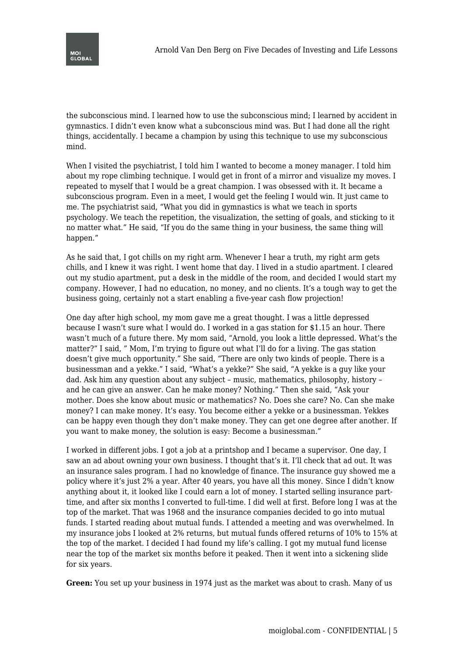

the subconscious mind. I learned how to use the subconscious mind; I learned by accident in gymnastics. I didn't even know what a subconscious mind was. But I had done all the right things, accidentally. I became a champion by using this technique to use my subconscious mind.

When I visited the psychiatrist, I told him I wanted to become a money manager. I told him about my rope climbing technique. I would get in front of a mirror and visualize my moves. I repeated to myself that I would be a great champion. I was obsessed with it. It became a subconscious program. Even in a meet, I would get the feeling I would win. It just came to me. The psychiatrist said, "What you did in gymnastics is what we teach in sports psychology. We teach the repetition, the visualization, the setting of goals, and sticking to it no matter what." He said, "If you do the same thing in your business, the same thing will happen."

As he said that, I got chills on my right arm. Whenever I hear a truth, my right arm gets chills, and I knew it was right. I went home that day. I lived in a studio apartment. I cleared out my studio apartment, put a desk in the middle of the room, and decided I would start my company. However, I had no education, no money, and no clients. It's a tough way to get the business going, certainly not a start enabling a five-year cash flow projection!

One day after high school, my mom gave me a great thought. I was a little depressed because I wasn't sure what I would do. I worked in a gas station for \$1.15 an hour. There wasn't much of a future there. My mom said, "Arnold, you look a little depressed. What's the matter?" I said, " Mom, I'm trying to figure out what I'll do for a living. The gas station doesn't give much opportunity." She said, "There are only two kinds of people. There is a businessman and a yekke." I said, "What's a yekke?" She said, "A yekke is a guy like your dad. Ask him any question about any subject – music, mathematics, philosophy, history – and he can give an answer. Can he make money? Nothing." Then she said, "Ask your mother. Does she know about music or mathematics? No. Does she care? No. Can she make money? I can make money. It's easy. You become either a yekke or a businessman. Yekkes can be happy even though they don't make money. They can get one degree after another. If you want to make money, the solution is easy: Become a businessman."

I worked in different jobs. I got a job at a printshop and I became a supervisor. One day, I saw an ad about owning your own business. I thought that's it. I'll check that ad out. It was an insurance sales program. I had no knowledge of finance. The insurance guy showed me a policy where it's just 2% a year. After 40 years, you have all this money. Since I didn't know anything about it, it looked like I could earn a lot of money. I started selling insurance parttime, and after six months I converted to full-time. I did well at first. Before long I was at the top of the market. That was 1968 and the insurance companies decided to go into mutual funds. I started reading about mutual funds. I attended a meeting and was overwhelmed. In my insurance jobs I looked at 2% returns, but mutual funds offered returns of 10% to 15% at the top of the market. I decided I had found my life's calling. I got my mutual fund license near the top of the market six months before it peaked. Then it went into a sickening slide for six years.

**Green:** You set up your business in 1974 just as the market was about to crash. Many of us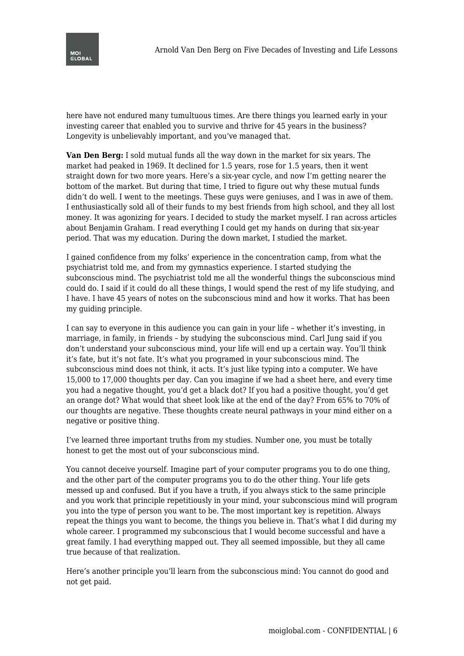

here have not endured many tumultuous times. Are there things you learned early in your investing career that enabled you to survive and thrive for 45 years in the business? Longevity is unbelievably important, and you've managed that.

**Van Den Berg:** I sold mutual funds all the way down in the market for six years. The market had peaked in 1969. It declined for 1.5 years, rose for 1.5 years, then it went straight down for two more years. Here's a six-year cycle, and now I'm getting nearer the bottom of the market. But during that time, I tried to figure out why these mutual funds didn't do well. I went to the meetings. These guys were geniuses, and I was in awe of them. I enthusiastically sold all of their funds to my best friends from high school, and they all lost money. It was agonizing for years. I decided to study the market myself. I ran across articles about Benjamin Graham. I read everything I could get my hands on during that six-year period. That was my education. During the down market, I studied the market.

I gained confidence from my folks' experience in the concentration camp, from what the psychiatrist told me, and from my gymnastics experience. I started studying the subconscious mind. The psychiatrist told me all the wonderful things the subconscious mind could do. I said if it could do all these things, I would spend the rest of my life studying, and I have. I have 45 years of notes on the subconscious mind and how it works. That has been my guiding principle.

I can say to everyone in this audience you can gain in your life – whether it's investing, in marriage, in family, in friends – by studying the subconscious mind. Carl Jung said if you don't understand your subconscious mind, your life will end up a certain way. You'll think it's fate, but it's not fate. It's what you programed in your subconscious mind. The subconscious mind does not think, it acts. It's just like typing into a computer. We have 15,000 to 17,000 thoughts per day. Can you imagine if we had a sheet here, and every time you had a negative thought, you'd get a black dot? If you had a positive thought, you'd get an orange dot? What would that sheet look like at the end of the day? From 65% to 70% of our thoughts are negative. These thoughts create neural pathways in your mind either on a negative or positive thing.

I've learned three important truths from my studies. Number one, you must be totally honest to get the most out of your subconscious mind.

You cannot deceive yourself. Imagine part of your computer programs you to do one thing, and the other part of the computer programs you to do the other thing. Your life gets messed up and confused. But if you have a truth, if you always stick to the same principle and you work that principle repetitiously in your mind, your subconscious mind will program you into the type of person you want to be. The most important key is repetition. Always repeat the things you want to become, the things you believe in. That's what I did during my whole career. I programmed my subconscious that I would become successful and have a great family. I had everything mapped out. They all seemed impossible, but they all came true because of that realization.

Here's another principle you'll learn from the subconscious mind: You cannot do good and not get paid.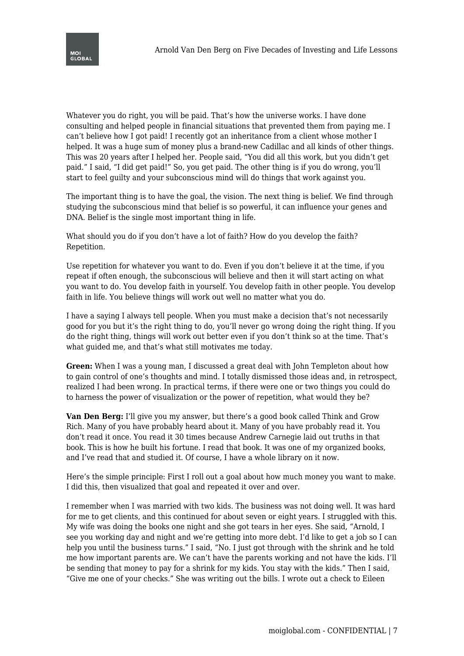

Whatever you do right, you will be paid. That's how the universe works. I have done consulting and helped people in financial situations that prevented them from paying me. I can't believe how I got paid! I recently got an inheritance from a client whose mother I helped. It was a huge sum of money plus a brand-new Cadillac and all kinds of other things. This was 20 years after I helped her. People said, "You did all this work, but you didn't get paid." I said, "I did get paid!" So, you get paid. The other thing is if you do wrong, you'll start to feel guilty and your subconscious mind will do things that work against you.

The important thing is to have the goal, the vision. The next thing is belief. We find through studying the subconscious mind that belief is so powerful, it can influence your genes and DNA. Belief is the single most important thing in life.

What should you do if you don't have a lot of faith? How do you develop the faith? Repetition.

Use repetition for whatever you want to do. Even if you don't believe it at the time, if you repeat if often enough, the subconscious will believe and then it will start acting on what you want to do. You develop faith in yourself. You develop faith in other people. You develop faith in life. You believe things will work out well no matter what you do.

I have a saying I always tell people. When you must make a decision that's not necessarily good for you but it's the right thing to do, you'll never go wrong doing the right thing. If you do the right thing, things will work out better even if you don't think so at the time. That's what guided me, and that's what still motivates me today.

**Green:** When I was a young man, I discussed a great deal with John Templeton about how to gain control of one's thoughts and mind. I totally dismissed those ideas and, in retrospect, realized I had been wrong. In practical terms, if there were one or two things you could do to harness the power of visualization or the power of repetition, what would they be?

**Van Den Berg:** I'll give you my answer, but there's a good book called Think and Grow Rich. Many of you have probably heard about it. Many of you have probably read it. You don't read it once. You read it 30 times because Andrew Carnegie laid out truths in that book. This is how he built his fortune. I read that book. It was one of my organized books, and I've read that and studied it. Of course, I have a whole library on it now.

Here's the simple principle: First I roll out a goal about how much money you want to make. I did this, then visualized that goal and repeated it over and over.

I remember when I was married with two kids. The business was not doing well. It was hard for me to get clients, and this continued for about seven or eight years. I struggled with this. My wife was doing the books one night and she got tears in her eyes. She said, "Arnold, I see you working day and night and we're getting into more debt. I'd like to get a job so I can help you until the business turns." I said, "No. I just got through with the shrink and he told me how important parents are. We can't have the parents working and not have the kids. I'll be sending that money to pay for a shrink for my kids. You stay with the kids." Then I said, "Give me one of your checks." She was writing out the bills. I wrote out a check to Eileen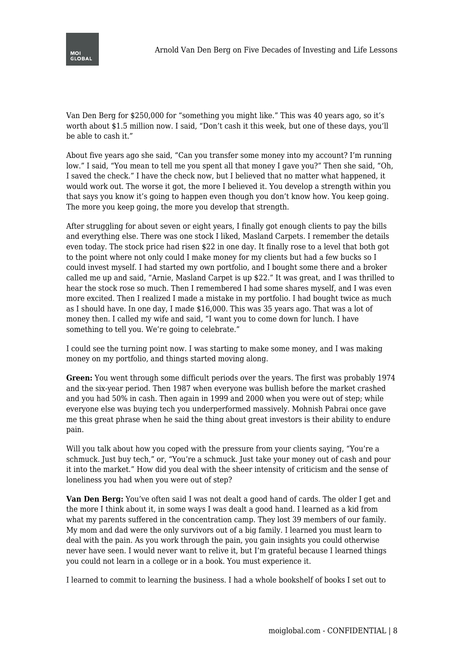

Van Den Berg for \$250,000 for "something you might like." This was 40 years ago, so it's worth about \$1.5 million now. I said, "Don't cash it this week, but one of these days, you'll be able to cash it."

About five years ago she said, "Can you transfer some money into my account? I'm running low." I said, "You mean to tell me you spent all that money I gave you?" Then she said, "Oh, I saved the check." I have the check now, but I believed that no matter what happened, it would work out. The worse it got, the more I believed it. You develop a strength within you that says you know it's going to happen even though you don't know how. You keep going. The more you keep going, the more you develop that strength.

After struggling for about seven or eight years, I finally got enough clients to pay the bills and everything else. There was one stock I liked, Masland Carpets. I remember the details even today. The stock price had risen \$22 in one day. It finally rose to a level that both got to the point where not only could I make money for my clients but had a few bucks so I could invest myself. I had started my own portfolio, and I bought some there and a broker called me up and said, "Arnie, Masland Carpet is up \$22." It was great, and I was thrilled to hear the stock rose so much. Then I remembered I had some shares myself, and I was even more excited. Then I realized I made a mistake in my portfolio. I had bought twice as much as I should have. In one day, I made \$16,000. This was 35 years ago. That was a lot of money then. I called my wife and said, "I want you to come down for lunch. I have something to tell you. We're going to celebrate."

I could see the turning point now. I was starting to make some money, and I was making money on my portfolio, and things started moving along.

**Green:** You went through some difficult periods over the years. The first was probably 1974 and the six-year period. Then 1987 when everyone was bullish before the market crashed and you had 50% in cash. Then again in 1999 and 2000 when you were out of step; while everyone else was buying tech you underperformed massively. Mohnish Pabrai once gave me this great phrase when he said the thing about great investors is their ability to endure pain.

Will you talk about how you coped with the pressure from your clients saying, "You're a schmuck. Just buy tech," or, "You're a schmuck. Just take your money out of cash and pour it into the market." How did you deal with the sheer intensity of criticism and the sense of loneliness you had when you were out of step?

**Van Den Berg:** You've often said I was not dealt a good hand of cards. The older I get and the more I think about it, in some ways I was dealt a good hand. I learned as a kid from what my parents suffered in the concentration camp. They lost 39 members of our family. My mom and dad were the only survivors out of a big family. I learned you must learn to deal with the pain. As you work through the pain, you gain insights you could otherwise never have seen. I would never want to relive it, but I'm grateful because I learned things you could not learn in a college or in a book. You must experience it.

I learned to commit to learning the business. I had a whole bookshelf of books I set out to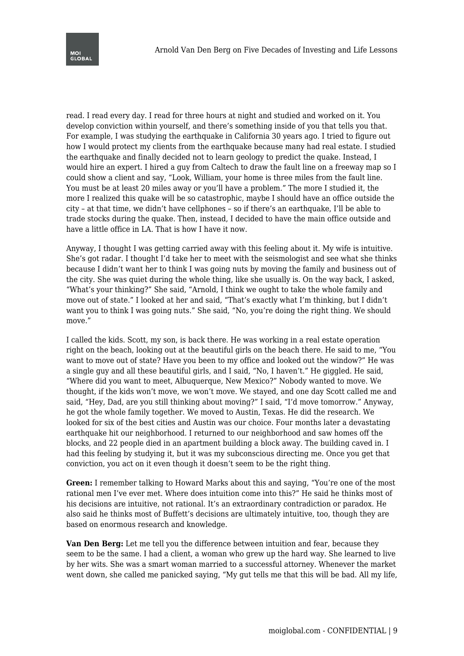read. I read every day. I read for three hours at night and studied and worked on it. You develop conviction within yourself, and there's something inside of you that tells you that. For example, I was studying the earthquake in California 30 years ago. I tried to figure out how I would protect my clients from the earthquake because many had real estate. I studied the earthquake and finally decided not to learn geology to predict the quake. Instead, I would hire an expert. I hired a guy from Caltech to draw the fault line on a freeway map so I could show a client and say, "Look, William, your home is three miles from the fault line. You must be at least 20 miles away or you'll have a problem." The more I studied it, the more I realized this quake will be so catastrophic, maybe I should have an office outside the city – at that time, we didn't have cellphones – so if there's an earthquake, I'll be able to trade stocks during the quake. Then, instead, I decided to have the main office outside and have a little office in LA. That is how I have it now.

Anyway, I thought I was getting carried away with this feeling about it. My wife is intuitive. She's got radar. I thought I'd take her to meet with the seismologist and see what she thinks because I didn't want her to think I was going nuts by moving the family and business out of the city. She was quiet during the whole thing, like she usually is. On the way back, I asked, "What's your thinking?" She said, "Arnold, I think we ought to take the whole family and move out of state." I looked at her and said, "That's exactly what I'm thinking, but I didn't want you to think I was going nuts." She said, "No, you're doing the right thing. We should move."

I called the kids. Scott, my son, is back there. He was working in a real estate operation right on the beach, looking out at the beautiful girls on the beach there. He said to me, "You want to move out of state? Have you been to my office and looked out the window?" He was a single guy and all these beautiful girls, and I said, "No, I haven't." He giggled. He said, "Where did you want to meet, Albuquerque, New Mexico?" Nobody wanted to move. We thought, if the kids won't move, we won't move. We stayed, and one day Scott called me and said, "Hey, Dad, are you still thinking about moving?" I said, "I'd move tomorrow." Anyway, he got the whole family together. We moved to Austin, Texas. He did the research. We looked for six of the best cities and Austin was our choice. Four months later a devastating earthquake hit our neighborhood. I returned to our neighborhood and saw homes off the blocks, and 22 people died in an apartment building a block away. The building caved in. I had this feeling by studying it, but it was my subconscious directing me. Once you get that conviction, you act on it even though it doesn't seem to be the right thing.

**Green:** I remember talking to Howard Marks about this and saying, "You're one of the most rational men I've ever met. Where does intuition come into this?" He said he thinks most of his decisions are intuitive, not rational. It's an extraordinary contradiction or paradox. He also said he thinks most of Buffett's decisions are ultimately intuitive, too, though they are based on enormous research and knowledge.

**Van Den Berg:** Let me tell you the difference between intuition and fear, because they seem to be the same. I had a client, a woman who grew up the hard way. She learned to live by her wits. She was a smart woman married to a successful attorney. Whenever the market went down, she called me panicked saying, "My gut tells me that this will be bad. All my life,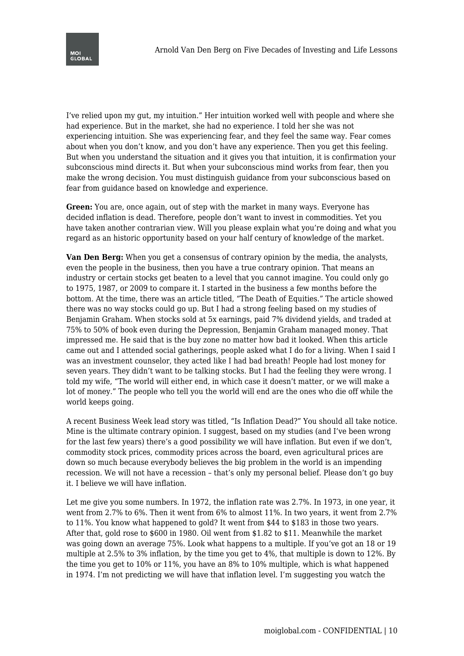

I've relied upon my gut, my intuition." Her intuition worked well with people and where she had experience. But in the market, she had no experience. I told her she was not experiencing intuition. She was experiencing fear, and they feel the same way. Fear comes about when you don't know, and you don't have any experience. Then you get this feeling. But when you understand the situation and it gives you that intuition, it is confirmation your subconscious mind directs it. But when your subconscious mind works from fear, then you make the wrong decision. You must distinguish guidance from your subconscious based on fear from guidance based on knowledge and experience.

**Green:** You are, once again, out of step with the market in many ways. Everyone has decided inflation is dead. Therefore, people don't want to invest in commodities. Yet you have taken another contrarian view. Will you please explain what you're doing and what you regard as an historic opportunity based on your half century of knowledge of the market.

**Van Den Berg:** When you get a consensus of contrary opinion by the media, the analysts, even the people in the business, then you have a true contrary opinion. That means an industry or certain stocks get beaten to a level that you cannot imagine. You could only go to 1975, 1987, or 2009 to compare it. I started in the business a few months before the bottom. At the time, there was an article titled, "The Death of Equities." The article showed there was no way stocks could go up. But I had a strong feeling based on my studies of Benjamin Graham. When stocks sold at 5x earnings, paid 7% dividend yields, and traded at 75% to 50% of book even during the Depression, Benjamin Graham managed money. That impressed me. He said that is the buy zone no matter how bad it looked. When this article came out and I attended social gatherings, people asked what I do for a living. When I said I was an investment counselor, they acted like I had bad breath! People had lost money for seven years. They didn't want to be talking stocks. But I had the feeling they were wrong. I told my wife, "The world will either end, in which case it doesn't matter, or we will make a lot of money." The people who tell you the world will end are the ones who die off while the world keeps going.

A recent Business Week lead story was titled, "Is Inflation Dead?" You should all take notice. Mine is the ultimate contrary opinion. I suggest, based on my studies (and I've been wrong for the last few years) there's a good possibility we will have inflation. But even if we don't, commodity stock prices, commodity prices across the board, even agricultural prices are down so much because everybody believes the big problem in the world is an impending recession. We will not have a recession – that's only my personal belief. Please don't go buy it. I believe we will have inflation.

Let me give you some numbers. In 1972, the inflation rate was 2.7%. In 1973, in one year, it went from 2.7% to 6%. Then it went from 6% to almost 11%. In two years, it went from 2.7% to 11%. You know what happened to gold? It went from \$44 to \$183 in those two years. After that, gold rose to \$600 in 1980. Oil went from \$1.82 to \$11. Meanwhile the market was going down an average 75%. Look what happens to a multiple. If you've got an 18 or 19 multiple at 2.5% to 3% inflation, by the time you get to 4%, that multiple is down to 12%. By the time you get to 10% or 11%, you have an 8% to 10% multiple, which is what happened in 1974. I'm not predicting we will have that inflation level. I'm suggesting you watch the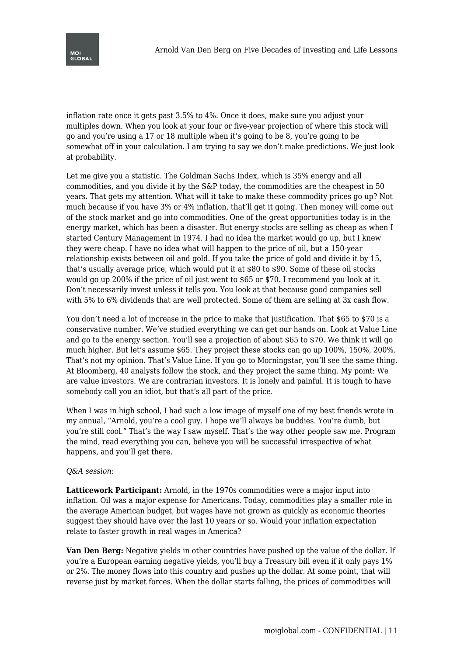

inflation rate once it gets past 3.5% to 4%. Once it does, make sure you adjust your multiples down. When you look at your four or five-year projection of where this stock will go and you're using a 17 or 18 multiple when it's going to be 8, you're going to be somewhat off in your calculation. I am trying to say we don't make predictions. We just look at probability.

Let me give you a statistic. The Goldman Sachs Index, which is 35% energy and all commodities, and you divide it by the S&P today, the commodities are the cheapest in 50 years. That gets my attention. What will it take to make these commodity prices go up? Not much because if you have 3% or 4% inflation, that'll get it going. Then money will come out of the stock market and go into commodities. One of the great opportunities today is in the energy market, which has been a disaster. But energy stocks are selling as cheap as when I started Century Management in 1974. I had no idea the market would go up, but I knew they were cheap. I have no idea what will happen to the price of oil, but a 150-year relationship exists between oil and gold. If you take the price of gold and divide it by 15, that's usually average price, which would put it at \$80 to \$90. Some of these oil stocks would go up 200% if the price of oil just went to \$65 or \$70. I recommend you look at it. Don't necessarily invest unless it tells you. You look at that because good companies sell with 5% to 6% dividends that are well protected. Some of them are selling at 3x cash flow.

You don't need a lot of increase in the price to make that justification. That \$65 to \$70 is a conservative number. We've studied everything we can get our hands on. Look at Value Line and go to the energy section. You'll see a projection of about \$65 to \$70. We think it will go much higher. But let's assume \$65. They project these stocks can go up 100%, 150%, 200%. That's not my opinion. That's Value Line. If you go to Morningstar, you'll see the same thing. At Bloomberg, 40 analysts follow the stock, and they project the same thing. My point: We are value investors. We are contrarian investors. It is lonely and painful. It is tough to have somebody call you an idiot, but that's all part of the price.

When I was in high school, I had such a low image of myself one of my best friends wrote in my annual, "Arnold, you're a cool guy. I hope we'll always be buddies. You're dumb, but you're still cool." That's the way I saw myself. That's the way other people saw me. Program the mind, read everything you can, believe you will be successful irrespective of what happens, and you'll get there.

## *Q&A session:*

**Latticework Participant:** Arnold, in the 1970s commodities were a major input into inflation. Oil was a major expense for Americans. Today, commodities play a smaller role in the average American budget, but wages have not grown as quickly as economic theories suggest they should have over the last 10 years or so. Would your inflation expectation relate to faster growth in real wages in America?

**Van Den Berg:** Negative yields in other countries have pushed up the value of the dollar. If you're a European earning negative yields, you'll buy a Treasury bill even if it only pays 1% or 2%. The money flows into this country and pushes up the dollar. At some point, that will reverse just by market forces. When the dollar starts falling, the prices of commodities will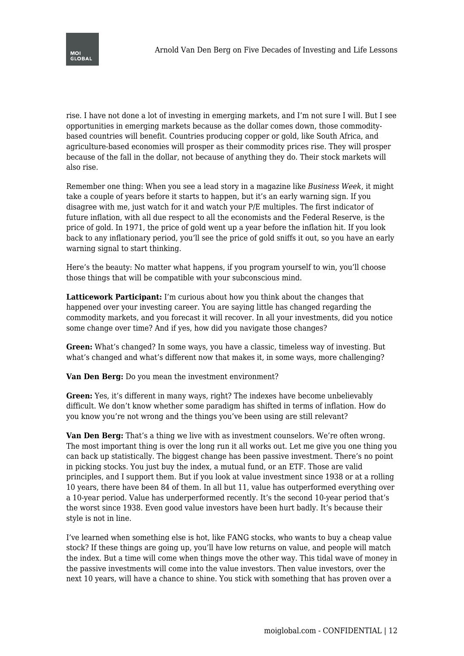

rise. I have not done a lot of investing in emerging markets, and I'm not sure I will. But I see opportunities in emerging markets because as the dollar comes down, those commoditybased countries will benefit. Countries producing copper or gold, like South Africa, and agriculture-based economies will prosper as their commodity prices rise. They will prosper because of the fall in the dollar, not because of anything they do. Their stock markets will also rise.

Remember one thing: When you see a lead story in a magazine like *Business Week*, it might take a couple of years before it starts to happen, but it's an early warning sign. If you disagree with me, just watch for it and watch your P/E multiples. The first indicator of future inflation, with all due respect to all the economists and the Federal Reserve, is the price of gold. In 1971, the price of gold went up a year before the inflation hit. If you look back to any inflationary period, you'll see the price of gold sniffs it out, so you have an early warning signal to start thinking.

Here's the beauty: No matter what happens, if you program yourself to win, you'll choose those things that will be compatible with your subconscious mind.

**Latticework Participant:** I'm curious about how you think about the changes that happened over your investing career. You are saying little has changed regarding the commodity markets, and you forecast it will recover. In all your investments, did you notice some change over time? And if yes, how did you navigate those changes?

**Green:** What's changed? In some ways, you have a classic, timeless way of investing. But what's changed and what's different now that makes it, in some ways, more challenging?

**Van Den Berg:** Do you mean the investment environment?

**Green:** Yes, it's different in many ways, right? The indexes have become unbelievably difficult. We don't know whether some paradigm has shifted in terms of inflation. How do you know you're not wrong and the things you've been using are still relevant?

**Van Den Berg:** That's a thing we live with as investment counselors. We're often wrong. The most important thing is over the long run it all works out. Let me give you one thing you can back up statistically. The biggest change has been passive investment. There's no point in picking stocks. You just buy the index, a mutual fund, or an ETF. Those are valid principles, and I support them. But if you look at value investment since 1938 or at a rolling 10 years, there have been 84 of them. In all but 11, value has outperformed everything over a 10-year period. Value has underperformed recently. It's the second 10-year period that's the worst since 1938. Even good value investors have been hurt badly. It's because their style is not in line.

I've learned when something else is hot, like FANG stocks, who wants to buy a cheap value stock? If these things are going up, you'll have low returns on value, and people will match the index. But a time will come when things move the other way. This tidal wave of money in the passive investments will come into the value investors. Then value investors, over the next 10 years, will have a chance to shine. You stick with something that has proven over a